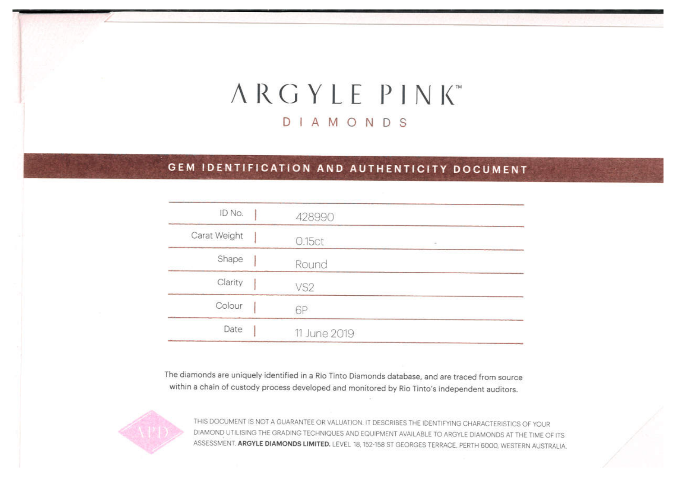# ARGYLE PINK DIAMONDS

# GEM IDENTIFICATION AND AUTHENTICITY DOCUMENT

| ID No.       | 428990          |  |
|--------------|-----------------|--|
| Carat Weight | 0.15ct          |  |
| Shape        | Round           |  |
| Clarity      | VS <sub>2</sub> |  |
| Colour       | 6P              |  |
| Date         | 11 June 2019    |  |
|              |                 |  |

The diamonds are uniquely identified in a Rio Tinto Diamonds database, and are traced from source within a chain of custody process developed and monitored by Rio Tinto's independent auditors.



THIS DOCUMENT IS NOT A GUARANTEE OR VALUATION. IT DESCRIBES THE IDENTIFYING CHARACTERISTICS OF YOUR DIAMOND UTILISING THE GRADING TECHNIQUES AND EQUIPMENT AVAILABLE TO ARGYLE DIAMONDS AT THE TIME OF ITS ASSESSMENT. ARGYLE DIAMONDS LIMITED. LEVEL 18, 152-158 ST GEORGES TERRACE, PERTH 6000, WESTERN AUSTRALIA.